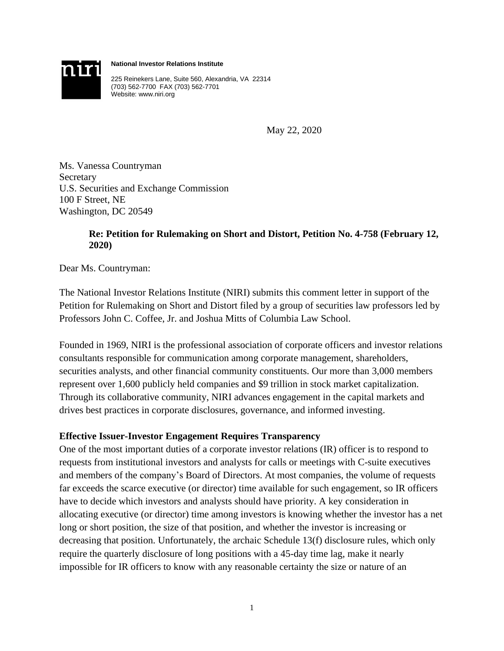

**National Investor Relations Institute**

225 Reinekers Lane, Suite 560, Alexandria, VA 22314 (703) 562-7700 FAX (703) 562-7701 Website: www.niri.org

May 22, 2020

Ms. Vanessa Countryman Secretary U.S. Securities and Exchange Commission 100 F Street, NE Washington, DC 20549

# **Re: Petition for Rulemaking on Short and Distort, Petition No. 4-758 (February 12, 2020)**

Dear Ms. Countryman:

The National Investor Relations Institute (NIRI) submits this comment letter in support of the Petition for Rulemaking on Short and Distort filed by a group of securities law professors led by Professors John C. Coffee, Jr. and Joshua Mitts of Columbia Law School.

Founded in 1969, NIRI is the professional association of corporate officers and investor relations consultants responsible for communication among corporate management, shareholders, securities analysts, and other financial community constituents. Our more than 3,000 members represent over 1,600 publicly held companies and \$9 trillion in stock market capitalization. Through its collaborative community, NIRI advances engagement in the capital markets and drives best practices in corporate disclosures, governance, and informed investing.

# **Effective Issuer-Investor Engagement Requires Transparency**

One of the most important duties of a corporate investor relations (IR) officer is to respond to requests from institutional investors and analysts for calls or meetings with C-suite executives and members of the company's Board of Directors. At most companies, the volume of requests far exceeds the scarce executive (or director) time available for such engagement, so IR officers have to decide which investors and analysts should have priority. A key consideration in allocating executive (or director) time among investors is knowing whether the investor has a net long or short position, the size of that position, and whether the investor is increasing or decreasing that position. Unfortunately, the archaic Schedule 13(f) disclosure rules, which only require the quarterly disclosure of long positions with a 45-day time lag, make it nearly impossible for IR officers to know with any reasonable certainty the size or nature of an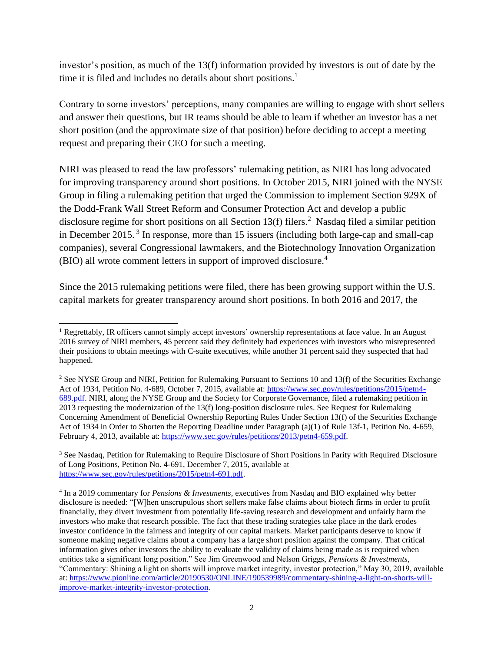investor's position, as much of the 13(f) information provided by investors is out of date by the time it is filed and includes no details about short positions. 1

Contrary to some investors' perceptions, many companies are willing to engage with short sellers and answer their questions, but IR teams should be able to learn if whether an investor has a net short position (and the approximate size of that position) before deciding to accept a meeting request and preparing their CEO for such a meeting.

NIRI was pleased to read the law professors' rulemaking petition, as NIRI has long advocated for improving transparency around short positions. In October 2015, NIRI joined with the NYSE Group in filing a rulemaking petition that urged the Commission to implement Section 929X of the Dodd-Frank Wall Street Reform and Consumer Protection Act and develop a public disclosure regime for short positions on all Section 13(f) filers.<sup>2</sup> Nasdaq filed a similar petition in December 2015.<sup>3</sup> In response, more than 15 issuers (including both large-cap and small-cap companies), several Congressional lawmakers, and the Biotechnology Innovation Organization (BIO) all wrote comment letters in support of improved disclosure. 4

Since the 2015 rulemaking petitions were filed, there has been growing support within the U.S. capital markets for greater transparency around short positions. In both 2016 and 2017, the

<sup>&</sup>lt;sup>1</sup> Regrettably, IR officers cannot simply accept investors' ownership representations at face value. In an August 2016 survey of NIRI members, 45 percent said they definitely had experiences with investors who misrepresented their positions to obtain meetings with C-suite executives, while another 31 percent said they suspected that had happened.

<sup>&</sup>lt;sup>2</sup> See NYSE Group and NIRI, Petition for Rulemaking Pursuant to Sections 10 and 13(f) of the Securities Exchange Act of 1934, Petition No. 4-689, October 7, 2015, available at[: https://www.sec.gov/rules/petitions/2015/petn4-](https://www.sec.gov/rules/petitions/2015/petn4-689.pdf) [689.pdf.](https://www.sec.gov/rules/petitions/2015/petn4-689.pdf) NIRI, along the NYSE Group and the Society for Corporate Governance, filed a rulemaking petition in 2013 requesting the modernization of the 13(f) long-position disclosure rules. See Request for Rulemaking Concerning Amendment of Beneficial Ownership Reporting Rules Under Section 13(f) of the Securities Exchange Act of 1934 in Order to Shorten the Reporting Deadline under Paragraph (a)(1) of Rule 13f-1, Petition No. 4-659, February 4, 2013, available at[: https://www.sec.gov/rules/petitions/2013/petn4-659.pdf.](https://www.sec.gov/rules/petitions/2013/petn4-659.pdf) 

<sup>&</sup>lt;sup>3</sup> See Nasdaq, Petition for Rulemaking to Require Disclosure of Short Positions in Parity with Required Disclosure of Long Positions, Petition No. 4-691, December 7, 2015, available at [https://www.sec.gov/rules/petitions/2015/petn4-691.pdf.](https://www.sec.gov/rules/petitions/2015/petn4-691.pdf)

<sup>4</sup> In a 2019 commentary for *Pensions & Investments*, executives from Nasdaq and BIO explained why better disclosure is needed: "[W]hen unscrupulous short sellers make false claims about biotech firms in order to profit financially, they divert investment from potentially life-saving research and development and unfairly harm the investors who make that research possible. The fact that these trading strategies take place in the dark erodes investor confidence in the fairness and integrity of our capital markets. Market participants deserve to know if someone making negative claims about a company has a large short position against the company. That critical information gives other investors the ability to evaluate the validity of claims being made as is required when entities take a significant long position." See Jim Greenwood and Nelson Griggs, *Pensions & Investments*, "Commentary: Shining a light on shorts will improve market integrity, investor protection," May 30, 2019, available at: [https://www.pionline.com/article/20190530/ONLINE/190539989/commentary-shining-a-light-on-shorts-will](https://www.pionline.com/article/20190530/ONLINE/190539989/commentary-shining-a-light-on-shorts-will-improve-market-integrity-investor-protection)[improve-market-integrity-investor-protection.](https://www.pionline.com/article/20190530/ONLINE/190539989/commentary-shining-a-light-on-shorts-will-improve-market-integrity-investor-protection)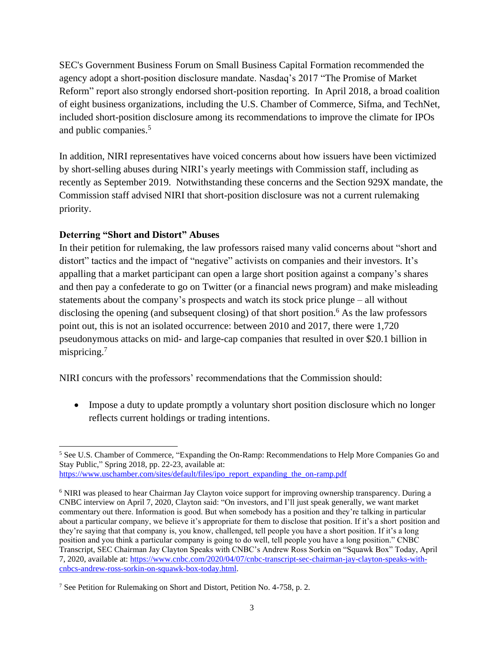SEC's Government Business Forum on Small Business Capital Formation recommended the agency adopt a short-position disclosure mandate. Nasdaq's 2017 "The Promise of Market Reform" report also strongly endorsed short-position reporting. In April 2018, a broad coalition of eight business organizations, including the U.S. Chamber of Commerce, Sifma, and TechNet, included short-position disclosure among its recommendations to improve the climate for IPOs and public companies.<sup>5</sup>

In addition, NIRI representatives have voiced concerns about how issuers have been victimized by short-selling abuses during NIRI's yearly meetings with Commission staff, including as recently as September 2019. Notwithstanding these concerns and the Section 929X mandate, the Commission staff advised NIRI that short-position disclosure was not a current rulemaking priority.

# **Deterring "Short and Distort" Abuses**

In their petition for rulemaking, the law professors raised many valid concerns about "short and distort" tactics and the impact of "negative" activists on companies and their investors. It's appalling that a market participant can open a large short position against a company's shares and then pay a confederate to go on Twitter (or a financial news program) and make misleading statements about the company's prospects and watch its stock price plunge – all without disclosing the opening (and subsequent closing) of that short position.<sup>6</sup> As the law professors point out, this is not an isolated occurrence: between 2010 and 2017, there were 1,720 pseudonymous attacks on mid- and large-cap companies that resulted in over \$20.1 billion in mispricing.<sup>7</sup>

NIRI concurs with the professors' recommendations that the Commission should:

• Impose a duty to update promptly a voluntary short position disclosure which no longer reflects current holdings or trading intentions.

<sup>5</sup> See U.S. Chamber of Commerce, "Expanding the On-Ramp: Recommendations to Help More Companies Go and Stay Public," Spring 2018, pp. 22-23, available at: [https://www.uschamber.com/sites/default/files/ipo\\_report\\_expanding\\_the\\_on-ramp.pdf](https://www.uschamber.com/sites/default/files/ipo_report_expanding_the_on-ramp.pdf)

<sup>6</sup> NIRI was pleased to hear Chairman Jay Clayton voice support for improving ownership transparency. During a CNBC interview on April 7, 2020, Clayton said: "On investors, and I'll just speak generally, we want market commentary out there. Information is good. But when somebody has a position and they're talking in particular about a particular company, we believe it's appropriate for them to disclose that position. If it's a short position and they're saying that that company is, you know, challenged, tell people you have a short position. If it's a long position and you think a particular company is going to do well, tell people you have a long position." CNBC Transcript, SEC Chairman Jay Clayton Speaks with CNBC's Andrew Ross Sorkin on "Squawk Box" Today, April 7, 2020, available at: [https://www.cnbc.com/2020/04/07/cnbc-transcript-sec-chairman-jay-clayton-speaks-with](https://www.cnbc.com/2020/04/07/cnbc-transcript-sec-chairman-jay-clayton-speaks-with-cnbcs-andrew-ross-sorkin-on-squawk-box-today.html)[cnbcs-andrew-ross-sorkin-on-squawk-box-today.html.](https://www.cnbc.com/2020/04/07/cnbc-transcript-sec-chairman-jay-clayton-speaks-with-cnbcs-andrew-ross-sorkin-on-squawk-box-today.html)

<sup>7</sup> See Petition for Rulemaking on Short and Distort, Petition No. 4-758, p. 2.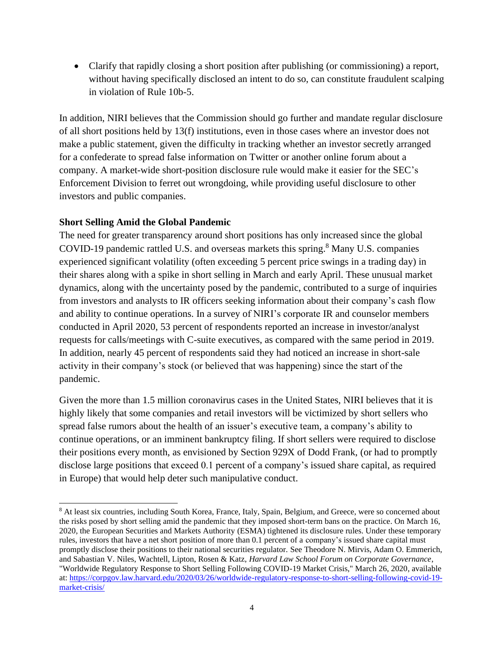• Clarify that rapidly closing a short position after publishing (or commissioning) a report, without having specifically disclosed an intent to do so, can constitute fraudulent scalping in violation of Rule 10b-5.

In addition, NIRI believes that the Commission should go further and mandate regular disclosure of all short positions held by 13(f) institutions, even in those cases where an investor does not make a public statement, given the difficulty in tracking whether an investor secretly arranged for a confederate to spread false information on Twitter or another online forum about a company. A market-wide short-position disclosure rule would make it easier for the SEC's Enforcement Division to ferret out wrongdoing, while providing useful disclosure to other investors and public companies.

# **Short Selling Amid the Global Pandemic**

The need for greater transparency around short positions has only increased since the global COVID-19 pandemic rattled U.S. and overseas markets this spring. <sup>8</sup> Many U.S. companies experienced significant volatility (often exceeding 5 percent price swings in a trading day) in their shares along with a spike in short selling in March and early April. These unusual market dynamics, along with the uncertainty posed by the pandemic, contributed to a surge of inquiries from investors and analysts to IR officers seeking information about their company's cash flow and ability to continue operations. In a survey of NIRI's corporate IR and counselor members conducted in April 2020, 53 percent of respondents reported an increase in investor/analyst requests for calls/meetings with C-suite executives, as compared with the same period in 2019. In addition, nearly 45 percent of respondents said they had noticed an increase in short-sale activity in their company's stock (or believed that was happening) since the start of the pandemic.

Given the more than 1.5 million coronavirus cases in the United States, NIRI believes that it is highly likely that some companies and retail investors will be victimized by short sellers who spread false rumors about the health of an issuer's executive team, a company's ability to continue operations, or an imminent bankruptcy filing. If short sellers were required to disclose their positions every month, as envisioned by Section 929X of Dodd Frank, (or had to promptly disclose large positions that exceed 0.1 percent of a company's issued share capital, as required in Europe) that would help deter such manipulative conduct.

<sup>8</sup> At least six countries, including South Korea, France, Italy, Spain, Belgium, and Greece, were so concerned about the risks posed by short selling amid the pandemic that they imposed short-term bans on the practice. On March 16, 2020, the European Securities and Markets Authority (ESMA) tightened its disclosure rules. Under these temporary rules, investors that have a net short position of more than 0.1 percent of a company's issued share capital must promptly disclose their positions to their national securities regulator. See Theodore N. Mirvis, Adam O. Emmerich, and Sabastian V. Niles, Wachtell, Lipton, Rosen & Katz, *Harvard Law School Forum on Corporate Governance*, "Worldwide Regulatory Response to Short Selling Following COVID-19 Market Crisis," March 26, 2020, available at: [https://corpgov.law.harvard.edu/2020/03/26/worldwide-regulatory-response-to-short-selling-following-covid-19](https://corpgov.law.harvard.edu/2020/03/26/worldwide-regulatory-response-to-short-selling-following-covid-19-market-crisis/) [market-crisis/](https://corpgov.law.harvard.edu/2020/03/26/worldwide-regulatory-response-to-short-selling-following-covid-19-market-crisis/)